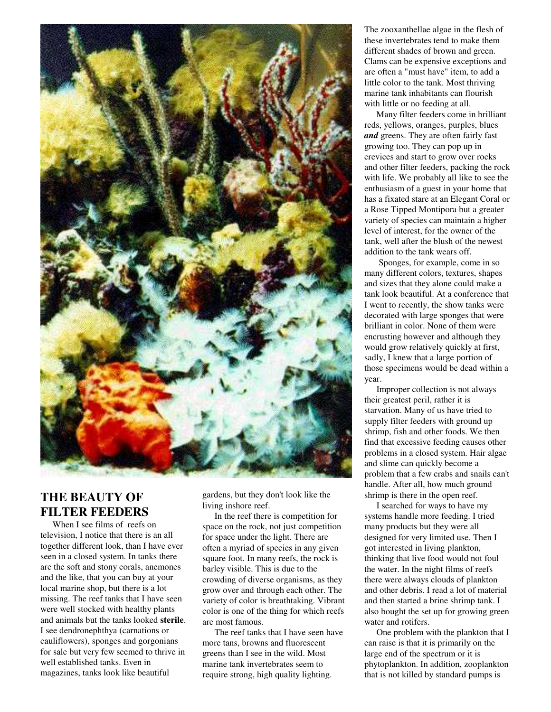

## **THE BEAUTY OF FILTER FEEDERS**

When I see films of reefs on television, I notice that there is an all together different look, than I have ever seen in a closed system. In tanks there are the soft and stony corals, anemones and the like, that you can buy at your local marine shop, but there is a lot missing. The reef tanks that I have seen were well stocked with healthy plants and animals but the tanks looked **sterile**. I see dendronephthya (carnations or cauliflowers), sponges and gorgonians for sale but very few seemed to thrive in well established tanks. Even in magazines, tanks look like beautiful

gardens, but they don't look like the living inshore reef.

In the reef there is competition for space on the rock, not just competition for space under the light. There are often a myriad of species in any given square foot. In many reefs, the rock is barley visible. This is due to the crowding of diverse organisms, as they grow over and through each other. The variety of color is breathtaking. Vibrant color is one of the thing for which reefs are most famous.

The reef tanks that I have seen have more tans, browns and fluorescent greens than I see in the wild. Most marine tank invertebrates seem to require strong, high quality lighting.

The zooxanthellae algae in the flesh of these invertebrates tend to make them different shades of brown and green. Clams can be expensive exceptions and are often a "must have" item, to add a little color to the tank. Most thriving marine tank inhabitants can flourish with little or no feeding at all.

Many filter feeders come in brilliant reds, yellows, oranges, purples, blues *and* greens. They are often fairly fast growing too. They can pop up in crevices and start to grow over rocks and other filter feeders, packing the rock with life. We probably all like to see the enthusiasm of a guest in your home that has a fixated stare at an Elegant Coral or a Rose Tipped Montipora but a greater variety of species can maintain a higher level of interest, for the owner of the tank, well after the blush of the newest addition to the tank wears off.

Sponges, for example, come in so many different colors, textures, shapes and sizes that they alone could make a tank look beautiful. At a conference that I went to recently, the show tanks were decorated with large sponges that were brilliant in color. None of them were encrusting however and although they would grow relatively quickly at first, sadly, I knew that a large portion of those specimens would be dead within a year.

Improper collection is not always their greatest peril, rather it is starvation. Many of us have tried to supply filter feeders with ground up shrimp, fish and other foods. We then find that excessive feeding causes other problems in a closed system. Hair algae and slime can quickly become a problem that a few crabs and snails can't handle. After all, how much ground shrimp is there in the open reef.

I searched for ways to have my systems handle more feeding. I tried many products but they were all designed for very limited use. Then I got interested in living plankton, thinking that live food would not foul the water. In the night films of reefs there were always clouds of plankton and other debris. I read a lot of material and then started a brine shrimp tank. I also bought the set up for growing green water and rotifers.

One problem with the plankton that I can raise is that it is primarily on the large end of the spectrum or it is phytoplankton. In addition, zooplankton that is not killed by standard pumps is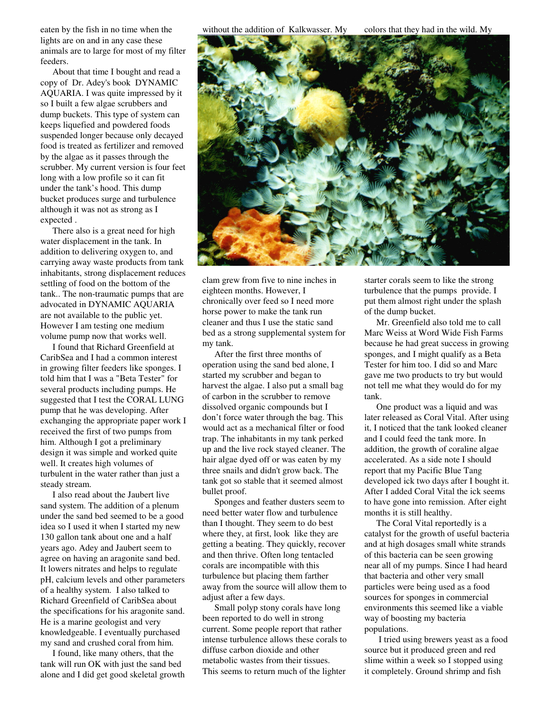eaten by the fish in no time when the lights are on and in any case these animals are to large for most of my filter feeders.

About that time I bought and read a copy of Dr. Adey's book DYNAMIC AQUARIA. I was quite impressed by it so I built a few algae scrubbers and dump buckets. This type of system can keeps liquefied and powdered foods suspended longer because only decayed food is treated as fertilizer and removed by the algae as it passes through the scrubber. My current version is four feet long with a low profile so it can fit under the tank's hood. This dump bucket produces surge and turbulence although it was not as strong as I expected .

There also is a great need for high water displacement in the tank. In addition to delivering oxygen to, and carrying away waste products from tank inhabitants, strong displacement reduces settling of food on the bottom of the tank.. The non-traumatic pumps that are advocated in DYNAMIC AQUARIA are not available to the public yet. However I am testing one medium volume pump now that works well.

I found that Richard Greenfield at CaribSea and I had a common interest in growing filter feeders like sponges. I told him that I was a "Beta Tester" for several products including pumps. He suggested that I test the CORAL LUNG pump that he was developing. After exchanging the appropriate paper work I received the first of two pumps from him. Although I got a preliminary design it was simple and worked quite well. It creates high volumes of turbulent in the water rather than just a steady stream.

I also read about the Jaubert live sand system. The addition of a plenum under the sand bed seemed to be a good idea so I used it when I started my new 130 gallon tank about one and a half years ago. Adey and Jaubert seem to agree on having an aragonite sand bed. It lowers nitrates and helps to regulate pH, calcium levels and other parameters of a healthy system. I also talked to Richard Greenfield of CaribSea about the specifications for his aragonite sand. He is a marine geologist and very knowledgeable. I eventually purchased my sand and crushed coral from him.

I found, like many others, that the tank will run OK with just the sand bed alone and I did get good skeletal growth without the addition of Kalkwasser. My colors that they had in the wild. My



clam grew from five to nine inches in eighteen months. However, I chronically over feed so I need more horse power to make the tank run cleaner and thus I use the static sand bed as a strong supplemental system for my tank.

After the first three months of operation using the sand bed alone, I started my scrubber and began to harvest the algae. I also put a small bag of carbon in the scrubber to remove dissolved organic compounds but I don't force water through the bag. This would act as a mechanical filter or food trap. The inhabitants in my tank perked up and the live rock stayed cleaner. The hair algae dyed off or was eaten by my three snails and didn't grow back. The tank got so stable that it seemed almost bullet proof.

Sponges and feather dusters seem to need better water flow and turbulence than I thought. They seem to do best where they, at first, look like they are getting a beating. They quickly, recover and then thrive. Often long tentacled corals are incompatible with this turbulence but placing them farther away from the source will allow them to adjust after a few days.

Small polyp stony corals have long been reported to do well in strong current. Some people report that rather intense turbulence allows these corals to diffuse carbon dioxide and other metabolic wastes from their tissues. This seems to return much of the lighter

starter corals seem to like the strong turbulence that the pumps provide. I put them almost right under the splash of the dump bucket.

Mr. Greenfield also told me to call Marc Weiss at Word Wide Fish Farms because he had great success in growing sponges, and I might qualify as a Beta Tester for him too. I did so and Marc gave me two products to try but would not tell me what they would do for my tank.

One product was a liquid and was later released as Coral Vital. After using it, I noticed that the tank looked cleaner and I could feed the tank more. In addition, the growth of coraline algae accelerated. As a side note I should report that my Pacific Blue Tang developed ick two days after I bought it. After I added Coral Vital the ick seems to have gone into remission. After eight months it is still healthy.

The Coral Vital reportedly is a catalyst for the growth of useful bacteria and at high dosages small white strands of this bacteria can be seen growing near all of my pumps. Since I had heard that bacteria and other very small particles were being used as a food sources for sponges in commercial environments this seemed like a viable way of boosting my bacteria populations.

I tried using brewers yeast as a food source but it produced green and red slime within a week so I stopped using it completely. Ground shrimp and fish